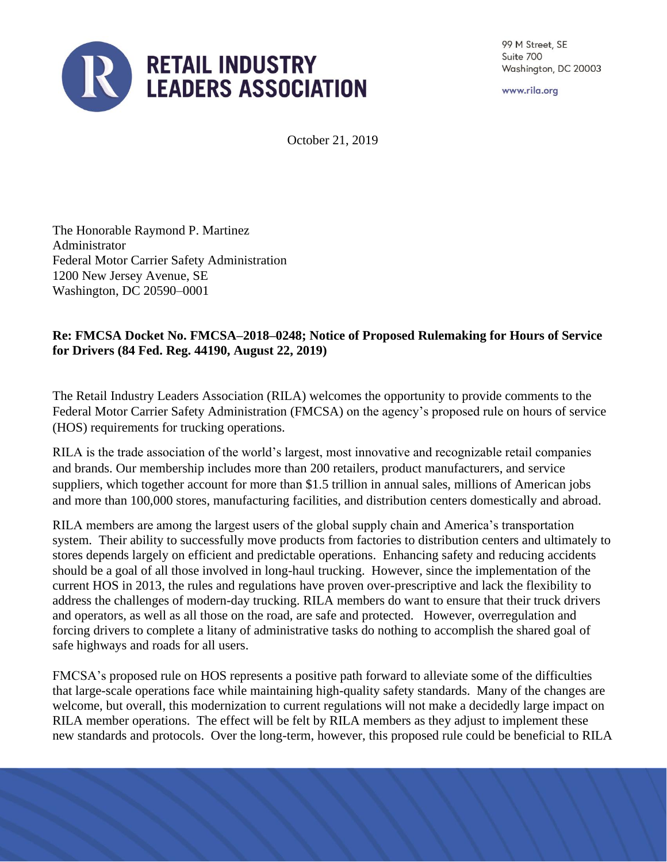

99 M Street, SE Suite 700 Washington, DC 20003

www.rila.org

October 21, 2019

The Honorable Raymond P. Martinez Administrator Federal Motor Carrier Safety Administration 1200 New Jersey Avenue, SE Washington, DC 20590–0001

## **Re: FMCSA Docket No. FMCSA–2018–0248; Notice of Proposed Rulemaking for Hours of Service for Drivers (84 Fed. Reg. 44190, August 22, 2019)**

The Retail Industry Leaders Association (RILA) welcomes the opportunity to provide comments to the Federal Motor Carrier Safety Administration (FMCSA) on the agency's proposed rule on hours of service (HOS) requirements for trucking operations.

RILA is the trade association of the world's largest, most innovative and recognizable retail companies and brands. Our membership includes more than 200 retailers, product manufacturers, and service suppliers, which together account for more than \$1.5 trillion in annual sales, millions of American jobs and more than 100,000 stores, manufacturing facilities, and distribution centers domestically and abroad.

RILA members are among the largest users of the global supply chain and America's transportation system. Their ability to successfully move products from factories to distribution centers and ultimately to stores depends largely on efficient and predictable operations. Enhancing safety and reducing accidents should be a goal of all those involved in long-haul trucking. However, since the implementation of the current HOS in 2013, the rules and regulations have proven over-prescriptive and lack the flexibility to address the challenges of modern-day trucking. RILA members do want to ensure that their truck drivers and operators, as well as all those on the road, are safe and protected. However, overregulation and forcing drivers to complete a litany of administrative tasks do nothing to accomplish the shared goal of safe highways and roads for all users.

FMCSA's proposed rule on HOS represents a positive path forward to alleviate some of the difficulties that large-scale operations face while maintaining high-quality safety standards. Many of the changes are welcome, but overall, this modernization to current regulations will not make a decidedly large impact on RILA member operations. The effect will be felt by RILA members as they adjust to implement these new standards and protocols. Over the long-term, however, this proposed rule could be beneficial to RILA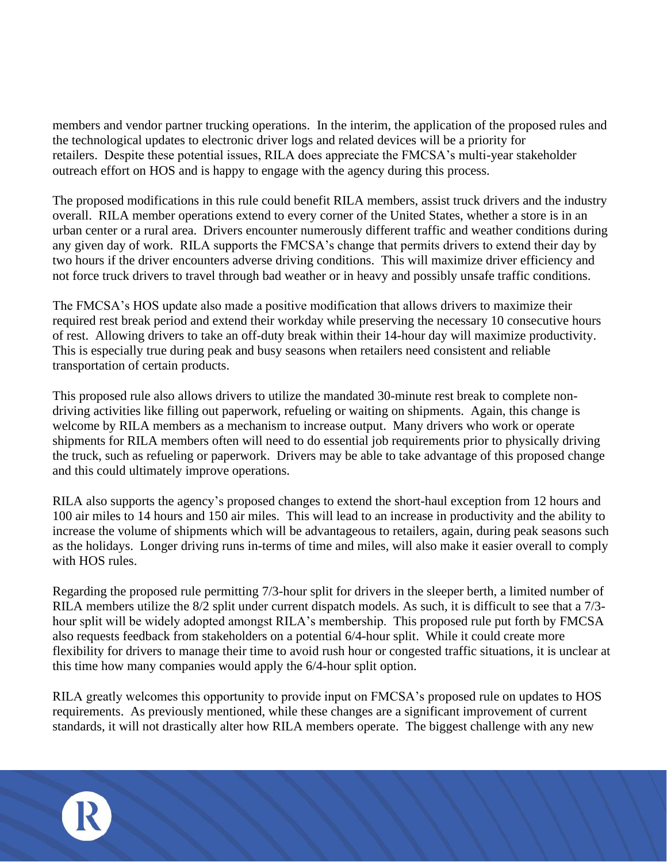members and vendor partner trucking operations. In the interim, the application of the proposed rules and the technological updates to electronic driver logs and related devices will be a priority for retailers. Despite these potential issues, RILA does appreciate the FMCSA's multi-year stakeholder outreach effort on HOS and is happy to engage with the agency during this process.

The proposed modifications in this rule could benefit RILA members, assist truck drivers and the industry overall. RILA member operations extend to every corner of the United States, whether a store is in an urban center or a rural area. Drivers encounter numerously different traffic and weather conditions during any given day of work. RILA supports the FMCSA's change that permits drivers to extend their day by two hours if the driver encounters adverse driving conditions. This will maximize driver efficiency and not force truck drivers to travel through bad weather or in heavy and possibly unsafe traffic conditions.

The FMCSA's HOS update also made a positive modification that allows drivers to maximize their required rest break period and extend their workday while preserving the necessary 10 consecutive hours of rest. Allowing drivers to take an off-duty break within their 14-hour day will maximize productivity. This is especially true during peak and busy seasons when retailers need consistent and reliable transportation of certain products.

This proposed rule also allows drivers to utilize the mandated 30-minute rest break to complete nondriving activities like filling out paperwork, refueling or waiting on shipments. Again, this change is welcome by RILA members as a mechanism to increase output. Many drivers who work or operate shipments for RILA members often will need to do essential job requirements prior to physically driving the truck, such as refueling or paperwork. Drivers may be able to take advantage of this proposed change and this could ultimately improve operations.

RILA also supports the agency's proposed changes to extend the short-haul exception from 12 hours and 100 air miles to 14 hours and 150 air miles. This will lead to an increase in productivity and the ability to increase the volume of shipments which will be advantageous to retailers, again, during peak seasons such as the holidays. Longer driving runs in-terms of time and miles, will also make it easier overall to comply with HOS rules.

Regarding the proposed rule permitting 7/3-hour split for drivers in the sleeper berth, a limited number of RILA members utilize the 8/2 split under current dispatch models. As such, it is difficult to see that a 7/3 hour split will be widely adopted amongst RILA's membership. This proposed rule put forth by FMCSA also requests feedback from stakeholders on a potential 6/4-hour split. While it could create more flexibility for drivers to manage their time to avoid rush hour or congested traffic situations, it is unclear at this time how many companies would apply the 6/4-hour split option.

RILA greatly welcomes this opportunity to provide input on FMCSA's proposed rule on updates to HOS requirements. As previously mentioned, while these changes are a significant improvement of current standards, it will not drastically alter how RILA members operate. The biggest challenge with any new